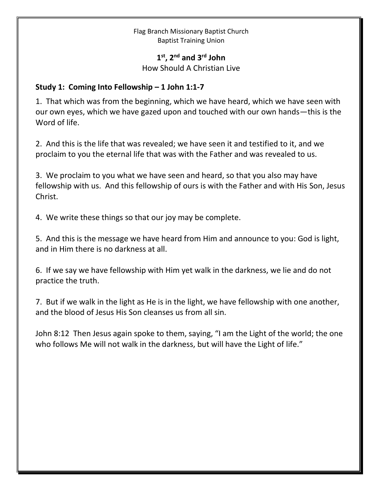## Flag Branch Missionary Baptist Church Baptist Training Union

## **1 st , 2 nd and 3rd John**

How Should A Christian Live

## **Study 1: Coming Into Fellowship – 1 John 1:1-7**

1. That which was from the beginning, which we have heard, which we have seen with our own eyes, which we have gazed upon and touched with our own hands—this is the Word of life.

2. And this is the life that was revealed; we have seen it and testified to it, and we proclaim to you the eternal life that was with the Father and was revealed to us.

3. We proclaim to you what we have seen and heard, so that you also may have fellowship with us. And this fellowship of ours is with the Father and with His Son, Jesus Christ.

4. We write these things so that our joy may be complete.

5. And this is the message we have heard from Him and announce to you: God is light, and in Him there is no darkness at all.

6. If we say we have fellowship with Him yet walk in the darkness, we lie and do not practice the truth.

7. But if we walk in the light as He is in the light, we have fellowship with one another, and the blood of Jesus His Son cleanses us from all sin.

John 8:12 Then Jesus again spoke to them, saying, "I am the Light of the world; the one who follows Me will not walk in the darkness, but will have the Light of life."